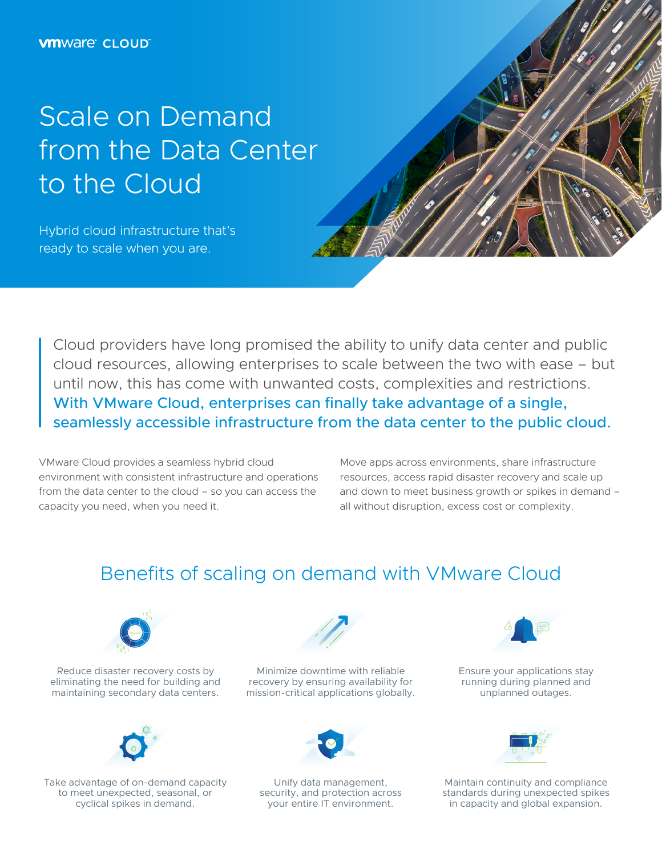# Scale on Demand from the Data Center to the Cloud

Hybrid cloud infrastructure that's ready to scale when you are.

Cloud providers have long promised the ability to unify data center and public cloud resources, allowing enterprises to scale between the two with ease – but until now, this has come with unwanted costs, complexities and restrictions. With VMware Cloud, enterprises can finally take advantage of a single, seamlessly accessible infrastructure from the data center to the public cloud.

VMware Cloud provides a seamless hybrid cloud environment with consistent infrastructure and operations from the data center to the cloud – so you can access the capacity you need, when you need it.

Move apps across environments, share infrastructure resources, access rapid disaster recovery and scale up and down to meet business growth or spikes in demand – all without disruption, excess cost or complexity.

### Benefits of scaling on demand with VMware Cloud



Reduce disaster recovery costs by eliminating the need for building and maintaining secondary data centers.



Take advantage of on-demand capacity to meet unexpected, seasonal, or cyclical spikes in demand.



Minimize downtime with reliable recovery by ensuring availability for mission-critical applications globally.



Unify data management, security, and protection across your entire IT environment.



Ensure your applications stay running during planned and unplanned outages.



Maintain continuity and compliance standards during unexpected spikes in capacity and global expansion.